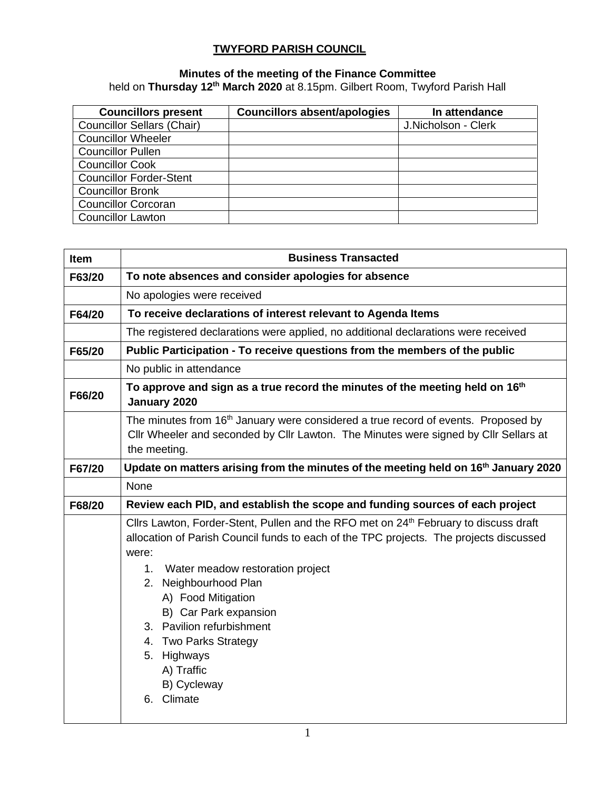## **TWYFORD PARISH COUNCIL**

## **Minutes of the meeting of the Finance Committee**

held on **Thursday 12th March 2020** at 8.15pm. Gilbert Room, Twyford Parish Hall

| <b>Councillors present</b>        | <b>Councillors absent/apologies</b> | In attendance       |
|-----------------------------------|-------------------------------------|---------------------|
| <b>Councillor Sellars (Chair)</b> |                                     | J.Nicholson - Clerk |
| <b>Councillor Wheeler</b>         |                                     |                     |
| <b>Councillor Pullen</b>          |                                     |                     |
| <b>Councillor Cook</b>            |                                     |                     |
| <b>Councillor Forder-Stent</b>    |                                     |                     |
| <b>Councillor Bronk</b>           |                                     |                     |
| <b>Councillor Corcoran</b>        |                                     |                     |
| <b>Councillor Lawton</b>          |                                     |                     |

| <b>Item</b> | <b>Business Transacted</b>                                                                                                                                                                                                                                                                                                                                                                                                            |  |  |  |  |  |
|-------------|---------------------------------------------------------------------------------------------------------------------------------------------------------------------------------------------------------------------------------------------------------------------------------------------------------------------------------------------------------------------------------------------------------------------------------------|--|--|--|--|--|
| F63/20      | To note absences and consider apologies for absence                                                                                                                                                                                                                                                                                                                                                                                   |  |  |  |  |  |
|             | No apologies were received                                                                                                                                                                                                                                                                                                                                                                                                            |  |  |  |  |  |
| F64/20      | To receive declarations of interest relevant to Agenda Items                                                                                                                                                                                                                                                                                                                                                                          |  |  |  |  |  |
|             | The registered declarations were applied, no additional declarations were received                                                                                                                                                                                                                                                                                                                                                    |  |  |  |  |  |
| F65/20      | Public Participation - To receive questions from the members of the public                                                                                                                                                                                                                                                                                                                                                            |  |  |  |  |  |
|             | No public in attendance                                                                                                                                                                                                                                                                                                                                                                                                               |  |  |  |  |  |
| F66/20      | To approve and sign as a true record the minutes of the meeting held on 16 <sup>th</sup><br>January 2020                                                                                                                                                                                                                                                                                                                              |  |  |  |  |  |
|             | The minutes from 16 <sup>th</sup> January were considered a true record of events. Proposed by<br>Cllr Wheeler and seconded by Cllr Lawton. The Minutes were signed by Cllr Sellars at<br>the meeting.                                                                                                                                                                                                                                |  |  |  |  |  |
| F67/20      | Update on matters arising from the minutes of the meeting held on 16 <sup>th</sup> January 2020                                                                                                                                                                                                                                                                                                                                       |  |  |  |  |  |
|             | None                                                                                                                                                                                                                                                                                                                                                                                                                                  |  |  |  |  |  |
| F68/20      | Review each PID, and establish the scope and funding sources of each project                                                                                                                                                                                                                                                                                                                                                          |  |  |  |  |  |
|             | Cllrs Lawton, Forder-Stent, Pullen and the RFO met on 24 <sup>th</sup> February to discuss draft<br>allocation of Parish Council funds to each of the TPC projects. The projects discussed<br>were:<br>1. Water meadow restoration project<br>Neighbourhood Plan<br>2.<br>A) Food Mitigation<br>B) Car Park expansion<br>3. Pavilion refurbishment<br>4. Two Parks Strategy<br>5. Highways<br>A) Traffic<br>B) Cycleway<br>6. Climate |  |  |  |  |  |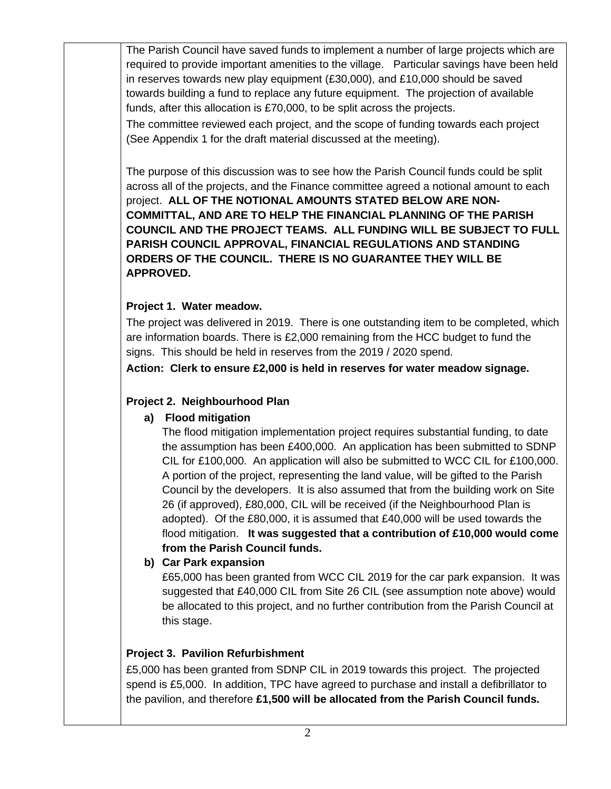The Parish Council have saved funds to implement a number of large projects which are required to provide important amenities to the village. Particular savings have been held in reserves towards new play equipment (£30,000), and £10,000 should be saved towards building a fund to replace any future equipment. The projection of available funds, after this allocation is £70,000, to be split across the projects.

The committee reviewed each project, and the scope of funding towards each project (See Appendix 1 for the draft material discussed at the meeting).

The purpose of this discussion was to see how the Parish Council funds could be split across all of the projects, and the Finance committee agreed a notional amount to each project. **ALL OF THE NOTIONAL AMOUNTS STATED BELOW ARE NON-COMMITTAL, AND ARE TO HELP THE FINANCIAL PLANNING OF THE PARISH COUNCIL AND THE PROJECT TEAMS. ALL FUNDING WILL BE SUBJECT TO FULL PARISH COUNCIL APPROVAL, FINANCIAL REGULATIONS AND STANDING ORDERS OF THE COUNCIL. THERE IS NO GUARANTEE THEY WILL BE APPROVED.**

## **Project 1. Water meadow.**

The project was delivered in 2019. There is one outstanding item to be completed, which are information boards. There is £2,000 remaining from the HCC budget to fund the signs. This should be held in reserves from the 2019 / 2020 spend.

**Action: Clerk to ensure £2,000 is held in reserves for water meadow signage.**

## **Project 2. Neighbourhood Plan**

# **a) Flood mitigation**

The flood mitigation implementation project requires substantial funding, to date the assumption has been £400,000. An application has been submitted to SDNP CIL for £100,000. An application will also be submitted to WCC CIL for £100,000. A portion of the project, representing the land value, will be gifted to the Parish Council by the developers. It is also assumed that from the building work on Site 26 (if approved), £80,000, CIL will be received (if the Neighbourhood Plan is adopted). Of the £80,000, it is assumed that £40,000 will be used towards the flood mitigation. **It was suggested that a contribution of £10,000 would come from the Parish Council funds.**

## **b) Car Park expansion**

£65,000 has been granted from WCC CIL 2019 for the car park expansion. It was suggested that £40,000 CIL from Site 26 CIL (see assumption note above) would be allocated to this project, and no further contribution from the Parish Council at this stage.

# **Project 3. Pavilion Refurbishment**

£5,000 has been granted from SDNP CIL in 2019 towards this project. The projected spend is £5,000. In addition, TPC have agreed to purchase and install a defibrillator to the pavilion, and therefore **£1,500 will be allocated from the Parish Council funds.**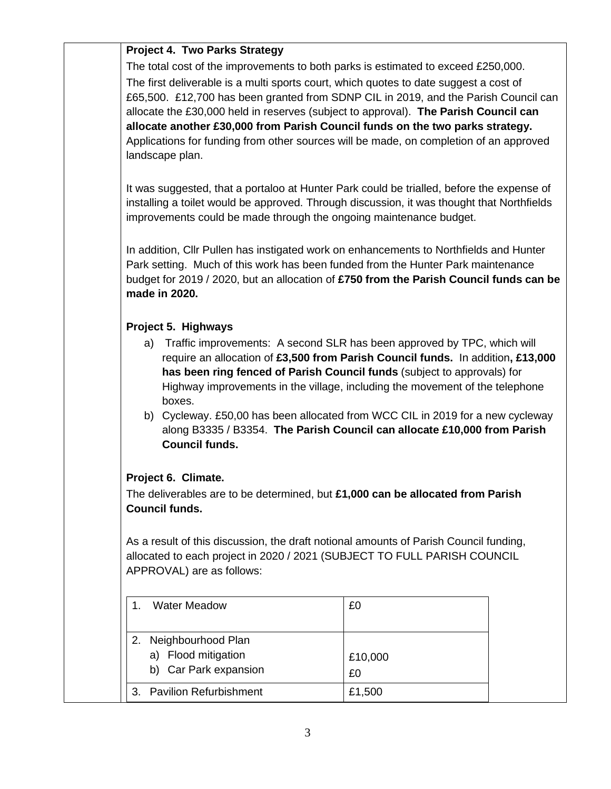### **Project 4. Two Parks Strategy**

The total cost of the improvements to both parks is estimated to exceed £250,000. The first deliverable is a multi sports court, which quotes to date suggest a cost of £65,500. £12,700 has been granted from SDNP CIL in 2019, and the Parish Council can allocate the £30,000 held in reserves (subject to approval). **The Parish Council can allocate another £30,000 from Parish Council funds on the two parks strategy.** Applications for funding from other sources will be made, on completion of an approved landscape plan.

It was suggested, that a portaloo at Hunter Park could be trialled, before the expense of installing a toilet would be approved. Through discussion, it was thought that Northfields improvements could be made through the ongoing maintenance budget.

In addition, Cllr Pullen has instigated work on enhancements to Northfields and Hunter Park setting. Much of this work has been funded from the Hunter Park maintenance budget for 2019 / 2020, but an allocation of **£750 from the Parish Council funds can be made in 2020.**

### **Project 5. Highways**

- a) Traffic improvements: A second SLR has been approved by TPC, which will require an allocation of **£3,500 from Parish Council funds.** In addition**, £13,000 has been ring fenced of Parish Council funds** (subject to approvals) for Highway improvements in the village, including the movement of the telephone boxes.
- b) Cycleway. £50,00 has been allocated from WCC CIL in 2019 for a new cycleway along B3335 / B3354. **The Parish Council can allocate £10,000 from Parish Council funds.**

## **Project 6. Climate.**

The deliverables are to be determined, but **£1,000 can be allocated from Parish Council funds.**

As a result of this discussion, the draft notional amounts of Parish Council funding, allocated to each project in 2020 / 2021 (SUBJECT TO FULL PARISH COUNCIL APPROVAL) are as follows:

| <b>Water Meadow</b>                                                | £0            |
|--------------------------------------------------------------------|---------------|
| Neighbourhood Plan<br>a) Flood mitigation<br>b) Car Park expansion | £10,000<br>£0 |
| 3. Pavilion Refurbishment                                          | £1,500        |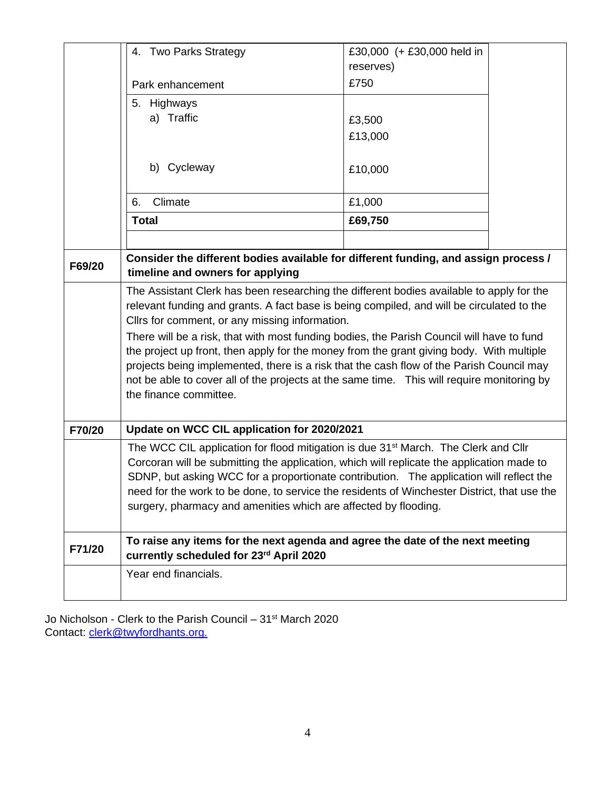|        | 4. Two Parks Strategy                                                                                                                                                                                                                                                                                                                                                                                                                                                                                                                                    | £30,000 (+ £30,000 held in |  |  |  |  |
|--------|----------------------------------------------------------------------------------------------------------------------------------------------------------------------------------------------------------------------------------------------------------------------------------------------------------------------------------------------------------------------------------------------------------------------------------------------------------------------------------------------------------------------------------------------------------|----------------------------|--|--|--|--|
|        |                                                                                                                                                                                                                                                                                                                                                                                                                                                                                                                                                          | reserves)<br>£750          |  |  |  |  |
|        | Park enhancement                                                                                                                                                                                                                                                                                                                                                                                                                                                                                                                                         |                            |  |  |  |  |
|        | Highways<br>5.                                                                                                                                                                                                                                                                                                                                                                                                                                                                                                                                           |                            |  |  |  |  |
|        | a) Traffic                                                                                                                                                                                                                                                                                                                                                                                                                                                                                                                                               | £3,500                     |  |  |  |  |
|        |                                                                                                                                                                                                                                                                                                                                                                                                                                                                                                                                                          | £13,000                    |  |  |  |  |
|        | b) Cycleway                                                                                                                                                                                                                                                                                                                                                                                                                                                                                                                                              | £10,000                    |  |  |  |  |
|        | Climate<br>6.                                                                                                                                                                                                                                                                                                                                                                                                                                                                                                                                            | £1,000                     |  |  |  |  |
|        | <b>Total</b>                                                                                                                                                                                                                                                                                                                                                                                                                                                                                                                                             | £69,750                    |  |  |  |  |
|        |                                                                                                                                                                                                                                                                                                                                                                                                                                                                                                                                                          |                            |  |  |  |  |
| F69/20 | Consider the different bodies available for different funding, and assign process /<br>timeline and owners for applying                                                                                                                                                                                                                                                                                                                                                                                                                                  |                            |  |  |  |  |
|        | relevant funding and grants. A fact base is being compiled, and will be circulated to the<br>Cllrs for comment, or any missing information.<br>There will be a risk, that with most funding bodies, the Parish Council will have to fund<br>the project up front, then apply for the money from the grant giving body. With multiple<br>projects being implemented, there is a risk that the cash flow of the Parish Council may<br>not be able to cover all of the projects at the same time. This will require monitoring by<br>the finance committee. |                            |  |  |  |  |
| F70/20 | Update on WCC CIL application for 2020/2021                                                                                                                                                                                                                                                                                                                                                                                                                                                                                                              |                            |  |  |  |  |
|        | The WCC CIL application for flood mitigation is due 31 <sup>st</sup> March. The Clerk and Cllr<br>Corcoran will be submitting the application, which will replicate the application made to<br>SDNP, but asking WCC for a proportionate contribution. The application will reflect the<br>need for the work to be done, to service the residents of Winchester District, that use the<br>surgery, pharmacy and amenities which are affected by flooding.                                                                                                 |                            |  |  |  |  |
| F71/20 | To raise any items for the next agenda and agree the date of the next meeting<br>currently scheduled for 23rd April 2020                                                                                                                                                                                                                                                                                                                                                                                                                                 |                            |  |  |  |  |
|        | Year end financials.                                                                                                                                                                                                                                                                                                                                                                                                                                                                                                                                     |                            |  |  |  |  |

Jo Nicholson - Clerk to the Parish Council – 31<sup>st</sup> March 2020 Contact: [clerk@twyf](mailto:clerk@twy)ordhants.org.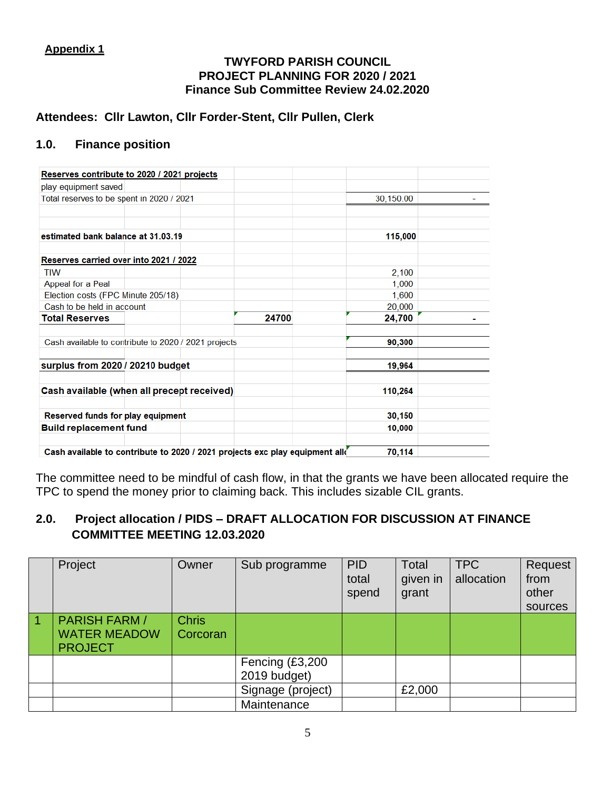### **Appendix 1**

#### **TWYFORD PARISH COUNCIL PROJECT PLANNING FOR 2020 / 2021 Finance Sub Committee Review 24.02.2020**

## **Attendees: Cllr Lawton, Cllr Forder-Stent, Cllr Pullen, Clerk**

## **1.0. Finance position**

| Reserves contribute to 2020 / 2021 projects                                  |       |           |  |
|------------------------------------------------------------------------------|-------|-----------|--|
| play equipment saved                                                         |       |           |  |
| Total reserves to be spent in 2020 / 2021                                    |       | 30.150.00 |  |
|                                                                              |       |           |  |
|                                                                              |       |           |  |
| estimated bank balance at 31.03.19                                           |       | 115,000   |  |
| Reserves carried over into 2021 / 2022                                       |       |           |  |
| <b>TIW</b>                                                                   |       | 2,100     |  |
| Appeal for a Peal                                                            |       | 1,000     |  |
| Election costs (FPC Minute 205/18)                                           |       | 1,600     |  |
| Cash to be held in account                                                   |       | 20,000    |  |
| <b>Total Reserves</b>                                                        | 24700 | 24,700    |  |
|                                                                              |       |           |  |
| Cash available to contribute to 2020 / 2021 projects                         |       | 90,300    |  |
|                                                                              |       |           |  |
| surplus from 2020 / 20210 budget                                             |       | 19,964    |  |
|                                                                              |       |           |  |
| Cash available (when all precept received)                                   |       | 110,264   |  |
|                                                                              |       |           |  |
| Reserved funds for play equipment                                            |       | 30,150    |  |
| <b>Build replacement fund</b>                                                |       | 10,000    |  |
|                                                                              |       |           |  |
| Cash available to contribute to 2020 / 2021 projects exc play equipment all( |       | 70,114    |  |

The committee need to be mindful of cash flow, in that the grants we have been allocated require the TPC to spend the money prior to claiming back. This includes sizable CIL grants.

## **2.0. Project allocation / PIDS – DRAFT ALLOCATION FOR DISCUSSION AT FINANCE COMMITTEE MEETING 12.03.2020**

|           | Project                                                       | Owner                    | Sub programme                   | <b>PID</b><br>total<br>spend | <b>Total</b><br>given in<br>grant | <b>TPC</b><br>allocation | Request<br>from<br>other<br>sources |
|-----------|---------------------------------------------------------------|--------------------------|---------------------------------|------------------------------|-----------------------------------|--------------------------|-------------------------------------|
| $\vert$ 1 | <b>PARISH FARM /</b><br><b>WATER MEADOW</b><br><b>PROJECT</b> | <b>Chris</b><br>Corcoran |                                 |                              |                                   |                          |                                     |
|           |                                                               |                          | Fencing (£3,200<br>2019 budget) |                              |                                   |                          |                                     |
|           |                                                               |                          | Signage (project)               |                              | £2,000                            |                          |                                     |
|           |                                                               |                          | Maintenance                     |                              |                                   |                          |                                     |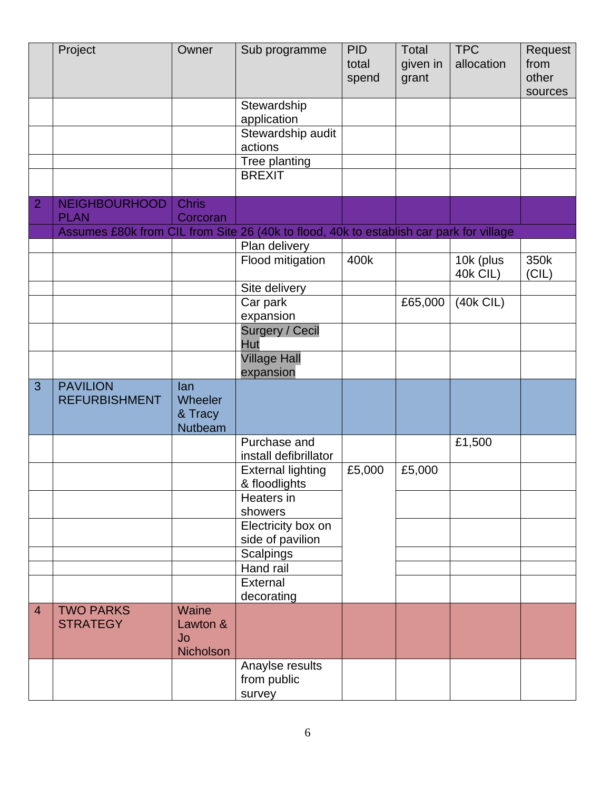|                | Project                                                                                 | Owner              | Sub programme                             | <b>PID</b><br>total<br>spend | <b>Total</b><br>given in<br>grant | <b>TPC</b><br>allocation | Request<br>from<br>other<br>sources |
|----------------|-----------------------------------------------------------------------------------------|--------------------|-------------------------------------------|------------------------------|-----------------------------------|--------------------------|-------------------------------------|
|                |                                                                                         |                    | Stewardship<br>application                |                              |                                   |                          |                                     |
|                |                                                                                         |                    | Stewardship audit                         |                              |                                   |                          |                                     |
|                |                                                                                         |                    | actions                                   |                              |                                   |                          |                                     |
|                |                                                                                         |                    | Tree planting<br><b>BREXIT</b>            |                              |                                   |                          |                                     |
|                |                                                                                         |                    |                                           |                              |                                   |                          |                                     |
| $\overline{2}$ | <b>NEIGHBOURHOOD</b>                                                                    | <b>Chris</b>       |                                           |                              |                                   |                          |                                     |
|                | <b>PLAN</b>                                                                             | Corcoran           |                                           |                              |                                   |                          |                                     |
|                | Assumes £80k from CIL from Site 26 (40k to flood, 40k to establish car park for village |                    |                                           |                              |                                   |                          |                                     |
|                |                                                                                         |                    | Plan delivery<br>Flood mitigation         | 400k                         |                                   | 10k (plus                | 350k                                |
|                |                                                                                         |                    |                                           |                              |                                   | <b>40k CIL)</b>          | (CIL)                               |
|                |                                                                                         |                    | Site delivery                             |                              |                                   |                          |                                     |
|                |                                                                                         |                    | Car park                                  |                              | £65,000                           | $(40k$ CIL)              |                                     |
|                |                                                                                         |                    | expansion<br><b>Surgery / Cecil</b>       |                              |                                   |                          |                                     |
|                |                                                                                         |                    | Hut                                       |                              |                                   |                          |                                     |
|                |                                                                                         |                    | <b>Village Hall</b><br>expansion          |                              |                                   |                          |                                     |
| $\overline{3}$ | <b>PAVILION</b>                                                                         | lan                |                                           |                              |                                   |                          |                                     |
|                | <b>REFURBISHMENT</b>                                                                    | Wheeler            |                                           |                              |                                   |                          |                                     |
|                |                                                                                         | & Tracy<br>Nutbeam |                                           |                              |                                   |                          |                                     |
|                |                                                                                         |                    | Purchase and                              |                              |                                   | £1,500                   |                                     |
|                |                                                                                         |                    | install defibrillator                     |                              |                                   |                          |                                     |
|                |                                                                                         |                    | <b>External lighting</b><br>& floodlights | £5,000                       | £5,000                            |                          |                                     |
|                |                                                                                         |                    | Heaters in                                |                              |                                   |                          |                                     |
|                |                                                                                         |                    | showers                                   |                              |                                   |                          |                                     |
|                |                                                                                         |                    | Electricity box on                        |                              |                                   |                          |                                     |
|                |                                                                                         |                    | side of pavilion                          |                              |                                   |                          |                                     |
|                |                                                                                         |                    | <b>Scalpings</b><br>Hand rail             |                              |                                   |                          |                                     |
|                |                                                                                         |                    | External                                  |                              |                                   |                          |                                     |
|                |                                                                                         |                    | decorating                                |                              |                                   |                          |                                     |
| $\overline{4}$ | <b>TWO PARKS</b>                                                                        | Waine              |                                           |                              |                                   |                          |                                     |
|                | <b>STRATEGY</b>                                                                         | Lawton &           |                                           |                              |                                   |                          |                                     |
|                |                                                                                         | Jo<br>Nicholson    |                                           |                              |                                   |                          |                                     |
|                |                                                                                         |                    | Anaylse results                           |                              |                                   |                          |                                     |
|                |                                                                                         |                    | from public                               |                              |                                   |                          |                                     |
|                |                                                                                         |                    | survey                                    |                              |                                   |                          |                                     |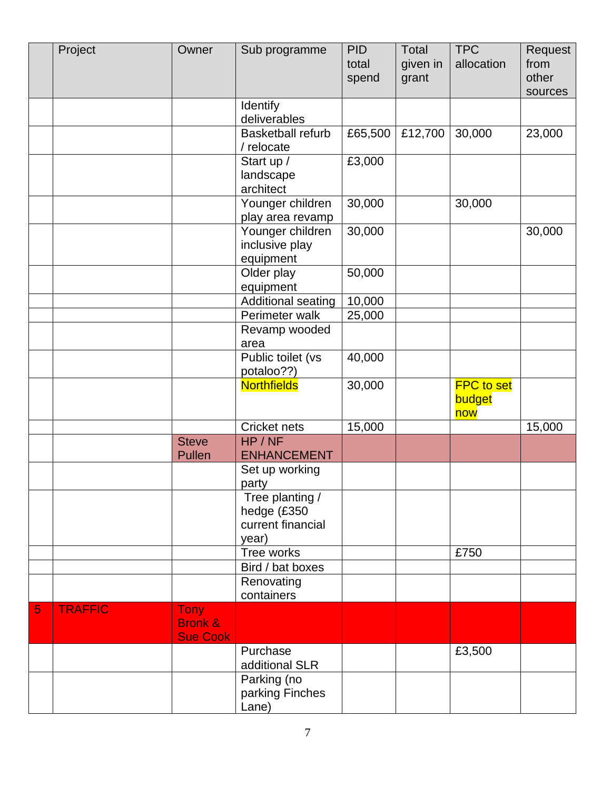|   | Project        | Owner                                                | Sub programme                                                | <b>PID</b><br>total<br>spend | Total<br>given in<br>grant | <b>TPC</b><br>allocation           | Request<br>from<br>other<br>sources |
|---|----------------|------------------------------------------------------|--------------------------------------------------------------|------------------------------|----------------------------|------------------------------------|-------------------------------------|
|   |                |                                                      | Identify                                                     |                              |                            |                                    |                                     |
|   |                |                                                      | deliverables                                                 |                              |                            |                                    |                                     |
|   |                |                                                      | <b>Basketball refurb</b><br>/ relocate                       | £65,500                      | £12,700                    | 30,000                             | 23,000                              |
|   |                |                                                      | Start up /                                                   | £3,000                       |                            |                                    |                                     |
|   |                |                                                      | landscape                                                    |                              |                            |                                    |                                     |
|   |                |                                                      | architect                                                    |                              |                            |                                    |                                     |
|   |                |                                                      | Younger children                                             | 30,000                       |                            | 30,000                             |                                     |
|   |                |                                                      | play area revamp                                             |                              |                            |                                    |                                     |
|   |                |                                                      | Younger children                                             | 30,000                       |                            |                                    | 30,000                              |
|   |                |                                                      | inclusive play<br>equipment                                  |                              |                            |                                    |                                     |
|   |                |                                                      | Older play                                                   | 50,000                       |                            |                                    |                                     |
|   |                |                                                      | equipment                                                    |                              |                            |                                    |                                     |
|   |                |                                                      | Additional seating                                           | 10,000                       |                            |                                    |                                     |
|   |                |                                                      | Perimeter walk                                               | 25,000                       |                            |                                    |                                     |
|   |                |                                                      | Revamp wooded                                                |                              |                            |                                    |                                     |
|   |                |                                                      | area                                                         |                              |                            |                                    |                                     |
|   |                |                                                      | Public toilet (vs<br>potaloo??)                              | 40,000                       |                            |                                    |                                     |
|   |                |                                                      | <b>Northfields</b>                                           | 30,000                       |                            | <b>FPC</b> to set<br>budget<br>now |                                     |
|   |                |                                                      | Cricket nets                                                 | 15,000                       |                            |                                    | 15,000                              |
|   |                | <b>Steve</b>                                         | HP / NF                                                      |                              |                            |                                    |                                     |
|   |                | Pullen                                               | <b>ENHANCEMENT</b>                                           |                              |                            |                                    |                                     |
|   |                |                                                      | Set up working<br>party                                      |                              |                            |                                    |                                     |
|   |                |                                                      | Tree planting /<br>hedge (£350<br>current financial<br>year) |                              |                            |                                    |                                     |
|   |                |                                                      | Tree works                                                   |                              |                            | £750                               |                                     |
|   |                |                                                      | Bird / bat boxes                                             |                              |                            |                                    |                                     |
|   |                |                                                      | Renovating                                                   |                              |                            |                                    |                                     |
|   |                |                                                      | containers                                                   |                              |                            |                                    |                                     |
| 5 | <b>TRAFFIC</b> | <b>Tony</b><br><b>Bronk &amp;</b><br><b>Sue Cook</b> |                                                              |                              |                            |                                    |                                     |
|   |                |                                                      | Purchase                                                     |                              |                            | £3,500                             |                                     |
|   |                |                                                      | additional SLR                                               |                              |                            |                                    |                                     |
|   |                |                                                      | Parking (no<br>parking Finches<br>Lane)                      |                              |                            |                                    |                                     |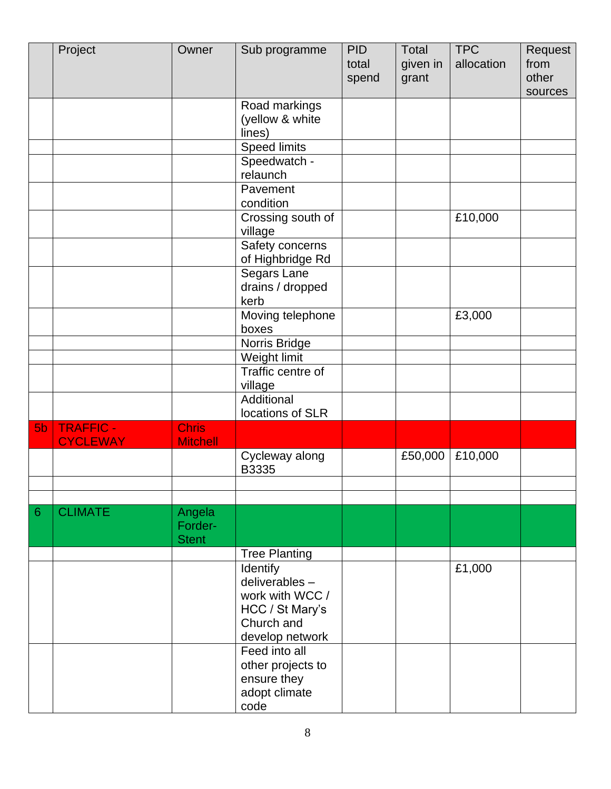|                | Project                            | Owner                           | Sub programme                                                                                    | <b>PID</b><br>total<br>spend | Total<br>given in<br>grant | <b>TPC</b><br>allocation | Request<br>from<br>other<br>sources |
|----------------|------------------------------------|---------------------------------|--------------------------------------------------------------------------------------------------|------------------------------|----------------------------|--------------------------|-------------------------------------|
|                |                                    |                                 | Road markings<br>(yellow & white<br>lines)                                                       |                              |                            |                          |                                     |
|                |                                    |                                 | <b>Speed limits</b>                                                                              |                              |                            |                          |                                     |
|                |                                    |                                 | Speedwatch -<br>relaunch                                                                         |                              |                            |                          |                                     |
|                |                                    |                                 | Pavement<br>condition                                                                            |                              |                            |                          |                                     |
|                |                                    |                                 | Crossing south of<br>village                                                                     |                              |                            | £10,000                  |                                     |
|                |                                    |                                 | Safety concerns<br>of Highbridge Rd                                                              |                              |                            |                          |                                     |
|                |                                    |                                 | Segars Lane<br>drains / dropped<br>kerb                                                          |                              |                            |                          |                                     |
|                |                                    |                                 | Moving telephone<br>boxes                                                                        |                              |                            | £3,000                   |                                     |
|                |                                    |                                 | Norris Bridge                                                                                    |                              |                            |                          |                                     |
|                |                                    |                                 | Weight limit                                                                                     |                              |                            |                          |                                     |
|                |                                    |                                 | Traffic centre of<br>village                                                                     |                              |                            |                          |                                     |
|                |                                    |                                 | Additional<br>locations of SLR                                                                   |                              |                            |                          |                                     |
| 5 <sub>b</sub> | <b>TRAFFIC-</b><br><b>CYCLEWAY</b> | <b>Chris</b><br><b>Mitchell</b> |                                                                                                  |                              |                            |                          |                                     |
|                |                                    |                                 | Cycleway along<br>B3335                                                                          |                              | £50,000                    | £10,000                  |                                     |
|                |                                    |                                 |                                                                                                  |                              |                            |                          |                                     |
| 6              | <b>CLIMATE</b>                     | Angela                          |                                                                                                  |                              |                            |                          |                                     |
|                |                                    | Forder-<br><b>Stent</b>         |                                                                                                  |                              |                            |                          |                                     |
|                |                                    |                                 | <b>Tree Planting</b>                                                                             |                              |                            |                          |                                     |
|                |                                    |                                 | Identify<br>deliverables-<br>work with WCC /<br>HCC / St Mary's<br>Church and<br>develop network |                              |                            | £1,000                   |                                     |
|                |                                    |                                 | Feed into all<br>other projects to<br>ensure they<br>adopt climate<br>code                       |                              |                            |                          |                                     |